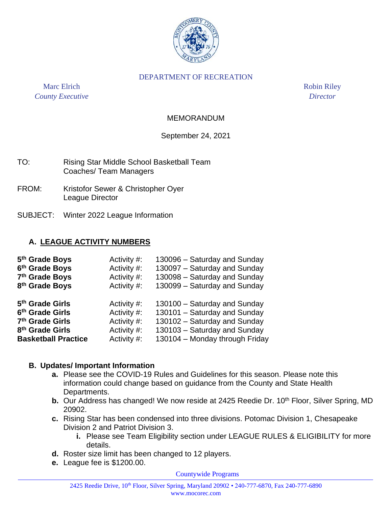

#### DEPARTMENT OF RECREATION

Marc Elrich Robin Riley *County Executive Director*

#### MEMORANDUM

#### September 24, 2021

| TO: | Rising Star Middle School Basketball Team |
|-----|-------------------------------------------|
|     | Coaches/ Team Managers                    |

- FROM: Kristofor Sewer & Christopher Oyer League Director
- SUBJECT: Winter 2022 League Information

#### **A. LEAGUE ACTIVITY NUMBERS**

| 5 <sup>th</sup> Grade Boys  | Activity #: | 130096 - Saturday and Sunday   |
|-----------------------------|-------------|--------------------------------|
| 6 <sup>th</sup> Grade Boys  | Activity #: | 130097 - Saturday and Sunday   |
| 7th Grade Boys              | Activity #: | 130098 - Saturday and Sunday   |
| 8 <sup>th</sup> Grade Boys  | Activity #: | 130099 - Saturday and Sunday   |
| 5 <sup>th</sup> Grade Girls | Activity #: | 130100 - Saturday and Sunday   |
| 6 <sup>th</sup> Grade Girls | Activity #: | 130101 - Saturday and Sunday   |
| 7 <sup>th</sup> Grade Girls | Activity #: | 130102 - Saturday and Sunday   |
| 8 <sup>th</sup> Grade Girls | Activity #: | 130103 - Saturday and Sunday   |
| <b>Basketball Practice</b>  | Activity #: | 130104 - Monday through Friday |
|                             |             |                                |

#### **B. Updates/ Important Information**

- **a.** Please see the COVID-19 Rules and Guidelines for this season. Please note this information could change based on guidance from the County and State Health Departments.
- **b.** Our Address has changed! We now reside at 2425 Reedie Dr. 10<sup>th</sup> Floor, Silver Spring, MD 20902.
- **c.** Rising Star has been condensed into three divisions. Potomac Division 1, Chesapeake Division 2 and Patriot Division 3.
	- **i.** Please see Team Eligibility section under LEAGUE RULES & ELIGIBILITY for more details.
- **d.** Roster size limit has been changed to 12 players.
- **e.** League fee is \$1200.00.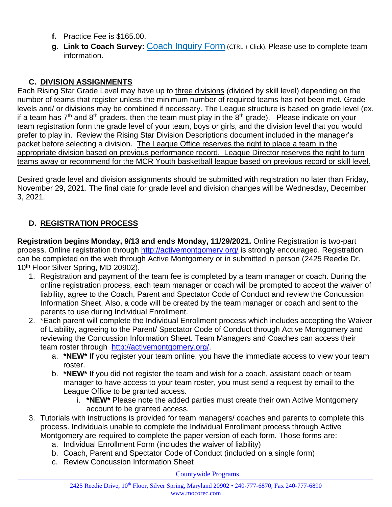- **f.** Practice Fee is \$165.00.
- **g. Link to Coach Survey:** Coach [Inquiry](https://gcc02.safelinks.protection.outlook.com/?url=https%3A%2F%2Fmcgmd.wufoo.com%2Fforms%2Fkq31efu18zqvv4&data=04%7C01%7CWilliam.Woodward%40montgomerycountymd.gov%7C480d00cd38e04186da1f08d9730dd5b2%7C6e01b1f9b1e54073ac97778069a0ad64%7C0%7C1%7C637667326524070830%7CUnknown%7CTWFpbGZsb3d8eyJWIjoiMC4wLjAwMDAiLCJQIjoiV2luMzIiLCJBTiI6Ik1haWwiLCJXVCI6Mn0%3D%7C1000&sdata=XwnhKpbjNtZ3FCwS4o2g2IfoVXraHmloZbpDAoHMZhw%3D&reserved=0) Form (CTRL + Click). Please use to complete team information.

## **C. DIVISION ASSIGNMENTS**

Each Rising Star Grade Level may have up to three divisions (divided by skill level) depending on the number of teams that register unless the minimum number of required teams has not been met. Grade levels and/ or divisions may be combined if necessary. The League structure is based on grade level (ex. if a team has  $7<sup>th</sup>$  and  $8<sup>th</sup>$  graders, then the team must play in the  $8<sup>th</sup>$  grade). Please indicate on your team registration form the grade level of your team, boys or girls, and the division level that you would prefer to play in. Review the Rising Star Division Descriptions document included in the manager's packet before selecting a division. The League Office reserves the right to place a team in the appropriate division based on previous performance record. League Director reserves the right to turn teams away or recommend for the MCR Youth basketball league based on previous record or skill level.

Desired grade level and division assignments should be submitted with registration no later than Friday, November 29, 2021. The final date for grade level and division changes will be Wednesday, December 3, 2021.

# **D. REGISTRATION PROCESS**

**Registration begins Monday, 9/13 and ends Monday, 11/29/2021.** Online Registration is two-part process. Online registration through<http://activemontgomery.org/> is strongly encouraged. Registration can be completed on the web through Active Montgomery or in submitted in person (2425 Reedie Dr. 10<sup>th</sup> Floor Silver Spring, MD 20902).

- 1. Registration and payment of the team fee is completed by a team manager or coach. During the online registration process, each team manager or coach will be prompted to accept the waiver of liability, agree to the Coach, Parent and Spectator Code of Conduct and review the Concussion Information Sheet. Also, a code will be created by the team manager or coach and sent to the parents to use during Individual Enrollment.
- 2. \*Each parent will complete the Individual Enrollment process which includes accepting the Waiver of Liability, agreeing to the Parent/ Spectator Code of Conduct through Active Montgomery and reviewing the Concussion Information Sheet. Team Managers and Coaches can access their team roster through [http://activemontgomery.org/.](http://activemontgomery.org/)
	- a. **\*NEW\*** If you register your team online, you have the immediate access to view your team roster.
	- b. **\*NEW\*** If you did not register the team and wish for a coach, assistant coach or team manager to have access to your team roster, you must send a request by email to the League Office to be granted access.
		- i. **\*NEW\*** Please note the added parties must create their own Active Montgomery account to be granted access.
- 3. Tutorials with instructions is provided for team managers/ coaches and parents to complete this process. Individuals unable to complete the Individual Enrollment process through Active Montgomery are required to complete the paper version of each form. Those forms are:
	- a. Individual Enrollment Form (includes the waiver of liability)
	- b. Coach, Parent and Spectator Code of Conduct (included on a single form)
	- c. Review Concussion Information Sheet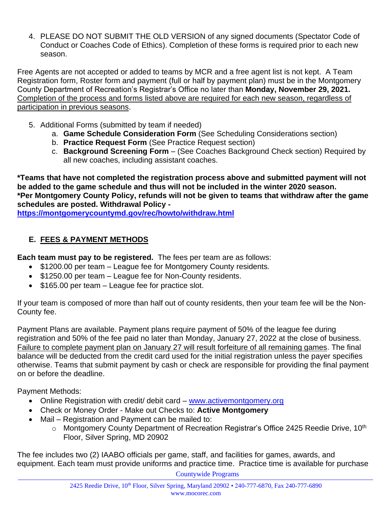4. PLEASE DO NOT SUBMIT THE OLD VERSION of any signed documents (Spectator Code of Conduct or Coaches Code of Ethics). Completion of these forms is required prior to each new season.

Free Agents are not accepted or added to teams by MCR and a free agent list is not kept. A Team Registration form, Roster form and payment (full or half by payment plan) must be in the Montgomery County Department of Recreation's Registrar's Office no later than **Monday, November 29, 2021.**  Completion of the process and forms listed above are required for each new season, regardless of participation in previous seasons.

- 5. Additional Forms (submitted by team if needed)
	- a. **Game Schedule Consideration Form** (See Scheduling Considerations section)
	- b. **Practice Request Form** (See Practice Request section)
	- c. **Background Screening Form**  (See Coaches Background Check section) Required by all new coaches, including assistant coaches.

**\*Teams that have not completed the registration process above and submitted payment will not be added to the game schedule and thus will not be included in the winter 2020 season. \*Per Montgomery County Policy, refunds will not be given to teams that withdraw after the game schedules are posted. Withdrawal Policy -**

**<https://montgomerycountymd.gov/rec/howto/withdraw.html>**

# **E. FEES & PAYMENT METHODS**

**Each team must pay to be registered.** The fees per team are as follows:

- \$1200.00 per team League fee for Montgomery County residents.
- \$1250.00 per team League fee for Non-County residents.
- \$165.00 per team League fee for practice slot.

If your team is composed of more than half out of county residents, then your team fee will be the Non-County fee.

Payment Plans are available. Payment plans require payment of 50% of the league fee during registration and 50% of the fee paid no later than Monday, January 27, 2022 at the close of business. Failure to complete payment plan on January 27 will result forfeiture of all remaining games. The final balance will be deducted from the credit card used for the initial registration unless the payer specifies otherwise. Teams that submit payment by cash or check are responsible for providing the final payment on or before the deadline.

Payment Methods:

- Online Registration with credit/ debit card [www.activemontgomery.org](http://www.activemontgomery.org/)
- Check or Money Order Make out Checks to: **Active Montgomery**
- Mail Registration and Payment can be mailed to:
	- o Montgomery County Department of Recreation Registrar's Office 2425 Reedie Drive, 10<sup>th</sup> Floor, Silver Spring, MD 20902

The fee includes two (2) IAABO officials per game, staff, and facilities for games, awards, and equipment. Each team must provide uniforms and practice time. Practice time is available for purchase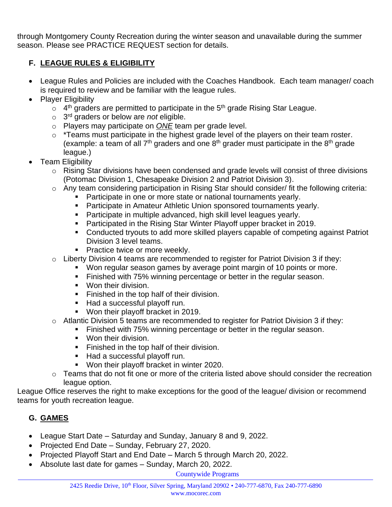through Montgomery County Recreation during the winter season and unavailable during the summer season. Please see PRACTICE REQUEST section for details.

## **F. LEAGUE RULES & ELIGIBILITY**

- League Rules and Policies are included with the Coaches Handbook. Each team manager/ coach is required to review and be familiar with the league rules.
- Player Eligibility
	- $\circ$  4<sup>th</sup> graders are permitted to participate in the 5<sup>th</sup> grade Rising Star League.
	- o 3 rd graders or below are *not* eligible.
	- o Players may participate on *ONE* team per grade level.
	- $\circ$  \*Teams must participate in the highest grade level of the players on their team roster. (example: a team of all  $7<sup>th</sup>$  graders and one  $8<sup>th</sup>$  grader must participate in the  $8<sup>th</sup>$  grade league.)
- Team Eligibility
	- o Rising Star divisions have been condensed and grade levels will consist of three divisions (Potomac Division 1, Chesapeake Division 2 and Patriot Division 3).
	- o Any team considering participation in Rising Star should consider/ fit the following criteria:
		- Participate in one or more state or national tournaments yearly.
		- **EXECT** Participate in Amateur Athletic Union sponsored tournaments yearly.
		- Participate in multiple advanced, high skill level leagues yearly.
		- Participated in the Rising Star Winter Playoff upper bracket in 2019.
		- Conducted tryouts to add more skilled players capable of competing against Patriot Division 3 level teams.
		- **Practice twice or more weekly.**
	- $\circ$  Liberty Division 4 teams are recommended to register for Patriot Division 3 if they:
		- Won regular season games by average point margin of 10 points or more.
		- Finished with 75% winning percentage or better in the regular season.
		- Won their division.
		- **EXECUTE:** Finished in the top half of their division.
		- Had a successful playoff run.
		- Won their playoff bracket in 2019.
	- $\circ$  Atlantic Division 5 teams are recommended to register for Patriot Division 3 if they:
		- Finished with 75% winning percentage or better in the regular season.
		- Won their division.
		- Finished in the top half of their division.
		- Had a successful playoff run.
		- Won their playoff bracket in winter 2020.
	- $\circ$  Teams that do not fit one or more of the criteria listed above should consider the recreation league option.

League Office reserves the right to make exceptions for the good of the league/ division or recommend teams for youth recreation league.

# **G. GAMES**

- League Start Date Saturday and Sunday, January 8 and 9, 2022.
- Projected End Date Sunday, February 27, 2020.
- Projected Playoff Start and End Date March 5 through March 20, 2022.
- Absolute last date for games Sunday, March 20, 2022.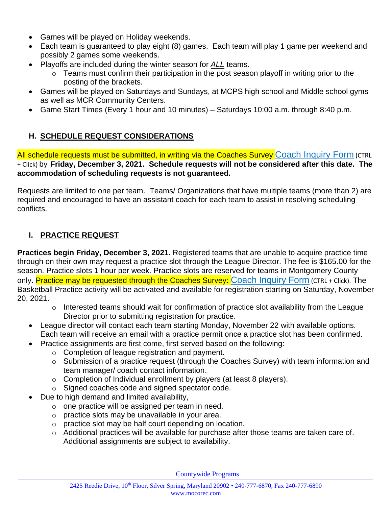- Games will be played on Holiday weekends.
- Each team is guaranteed to play eight (8) games. Each team will play 1 game per weekend and possibly 2 games some weekends.
- Playoffs are included during the winter season for *ALL* teams.
	- o Teams must confirm their participation in the post season playoff in writing prior to the posting of the brackets.
- Games will be played on Saturdays and Sundays, at MCPS high school and Middle school gyms as well as MCR Community Centers.
- Game Start Times (Every 1 hour and 10 minutes) Saturdays 10:00 a.m. through 8:40 p.m.

### **H. SCHEDULE REQUEST CONSIDERATIONS**

All schedule requests must be submitted, in writing via the Coaches Survey Coach [Inquiry](https://gcc02.safelinks.protection.outlook.com/?url=https%3A%2F%2Fmcgmd.wufoo.com%2Fforms%2Fkq31efu18zqvv4&data=04%7C01%7CWilliam.Woodward%40montgomerycountymd.gov%7C480d00cd38e04186da1f08d9730dd5b2%7C6e01b1f9b1e54073ac97778069a0ad64%7C0%7C1%7C637667326524070830%7CUnknown%7CTWFpbGZsb3d8eyJWIjoiMC4wLjAwMDAiLCJQIjoiV2luMzIiLCJBTiI6Ik1haWwiLCJXVCI6Mn0%3D%7C1000&sdata=XwnhKpbjNtZ3FCwS4o2g2IfoVXraHmloZbpDAoHMZhw%3D&reserved=0) Form (CTRL + Click) by **Friday, December 3, 2021. Schedule requests will not be considered after this date. The accommodation of scheduling requests is not guaranteed.**

Requests are limited to one per team. Teams/ Organizations that have multiple teams (more than 2) are required and encouraged to have an assistant coach for each team to assist in resolving scheduling conflicts.

### **I. PRACTICE REQUEST**

**Practices begin Friday, December 3, 2021.** Registered teams that are unable to acquire practice time through on their own may request a practice slot through the League Director. The fee is \$165.00 for the season. Practice slots 1 hour per week. Practice slots are reserved for teams in Montgomery County only. Practice may be requested through the Coaches Survey: Coach [Inquiry](https://gcc02.safelinks.protection.outlook.com/?url=https%3A%2F%2Fmcgmd.wufoo.com%2Fforms%2Fkq31efu18zqvv4&data=04%7C01%7CWilliam.Woodward%40montgomerycountymd.gov%7C480d00cd38e04186da1f08d9730dd5b2%7C6e01b1f9b1e54073ac97778069a0ad64%7C0%7C1%7C637667326524070830%7CUnknown%7CTWFpbGZsb3d8eyJWIjoiMC4wLjAwMDAiLCJQIjoiV2luMzIiLCJBTiI6Ik1haWwiLCJXVCI6Mn0%3D%7C1000&sdata=XwnhKpbjNtZ3FCwS4o2g2IfoVXraHmloZbpDAoHMZhw%3D&reserved=0) Form (CTRL + Click). The Basketball Practice activity will be activated and available for registration starting on Saturday, November 20, 2021.

- o Interested teams should wait for confirmation of practice slot availability from the League Director prior to submitting registration for practice.
- League director will contact each team starting Monday, November 22 with available options. Each team will receive an email with a practice permit once a practice slot has been confirmed.
- Practice assignments are first come, first served based on the following:
	- $\circ$  Completion of league registration and payment.
	- o Submission of a practice request (through the Coaches Survey) with team information and team manager/ coach contact information.
	- o Completion of Individual enrollment by players (at least 8 players).
	- o Signed coaches code and signed spectator code.
- Due to high demand and limited availability,
	- $\circ$  one practice will be assigned per team in need.
	- o practice slots may be unavailable in your area.
	- o practice slot may be half court depending on location.
	- o Additional practices will be available for purchase after those teams are taken care of. Additional assignments are subject to availability.